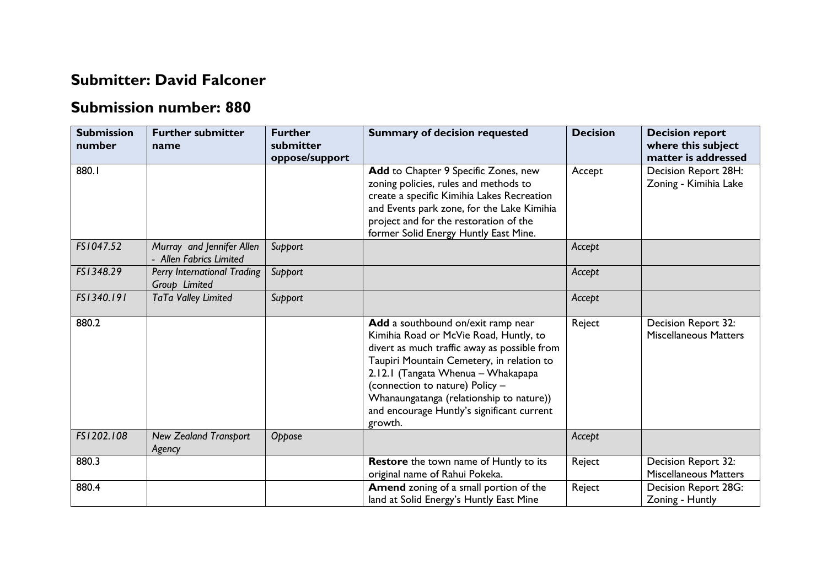## **Submitter: David Falconer**

## **Submission number: 880**

| <b>Submission</b><br>number | <b>Further submitter</b><br>name                     | <b>Further</b><br>submitter<br>oppose/support | <b>Summary of decision requested</b>                                                                                                                                                                                                                                                                                                                    | <b>Decision</b> | <b>Decision report</b><br>where this subject<br>matter is addressed |
|-----------------------------|------------------------------------------------------|-----------------------------------------------|---------------------------------------------------------------------------------------------------------------------------------------------------------------------------------------------------------------------------------------------------------------------------------------------------------------------------------------------------------|-----------------|---------------------------------------------------------------------|
| 880.I                       |                                                      |                                               | Add to Chapter 9 Specific Zones, new<br>zoning policies, rules and methods to<br>create a specific Kimihia Lakes Recreation<br>and Events park zone, for the Lake Kimihia<br>project and for the restoration of the<br>former Solid Energy Huntly East Mine.                                                                                            | Accept          | Decision Report 28H:<br>Zoning - Kimihia Lake                       |
| FS1047.52                   | Murray and Jennifer Allen<br>- Allen Fabrics Limited | Support                                       |                                                                                                                                                                                                                                                                                                                                                         | Accept          |                                                                     |
| FS1348.29                   | Perry International Trading<br>Group Limited         | Support                                       |                                                                                                                                                                                                                                                                                                                                                         | Accept          |                                                                     |
| FS1340.191                  | TaTa Valley Limited                                  | Support                                       |                                                                                                                                                                                                                                                                                                                                                         | Accept          |                                                                     |
| 880.2                       |                                                      |                                               | Add a southbound on/exit ramp near<br>Kimihia Road or McVie Road, Huntly, to<br>divert as much traffic away as possible from<br>Taupiri Mountain Cemetery, in relation to<br>2.12.1 (Tangata Whenua - Whakapapa<br>(connection to nature) Policy -<br>Whanaungatanga (relationship to nature))<br>and encourage Huntly's significant current<br>growth. | Reject          | Decision Report 32:<br><b>Miscellaneous Matters</b>                 |
| FS1202.108                  | <b>New Zealand Transport</b><br>Agency               | Oppose                                        |                                                                                                                                                                                                                                                                                                                                                         | Accept          |                                                                     |
| 880.3                       |                                                      |                                               | <b>Restore</b> the town name of Huntly to its<br>original name of Rahui Pokeka.                                                                                                                                                                                                                                                                         | Reject          | Decision Report 32:<br><b>Miscellaneous Matters</b>                 |
| 880.4                       |                                                      |                                               | <b>Amend zoning of a small portion of the</b><br>land at Solid Energy's Huntly East Mine                                                                                                                                                                                                                                                                | Reject          | <b>Decision Report 28G:</b><br>Zoning - Huntly                      |